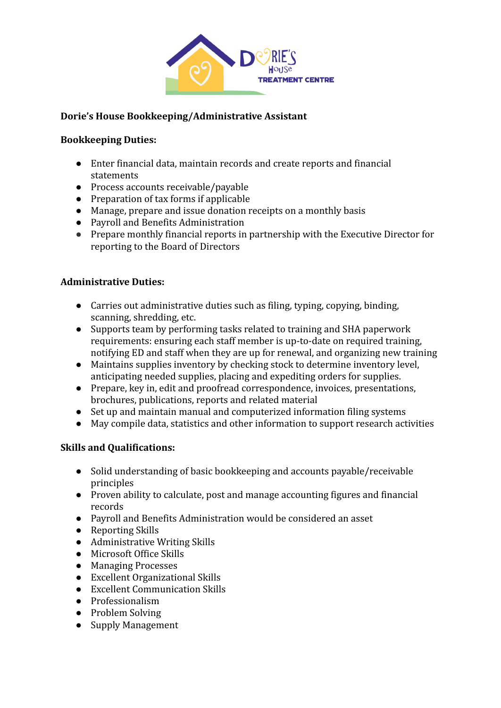

### **Dorie's House Bookkeeping/Administrative Assistant**

#### **Bookkeeping Duties:**

- Enter financial data, maintain records and create reports and financial statements
- Process accounts receivable/payable
- Preparation of tax forms if applicable
- Manage, prepare and issue donation receipts on a monthly basis
- Payroll and Benefits Administration
- Prepare monthly financial reports in partnership with the Executive Director for reporting to the Board of Directors

### **Administrative Duties:**

- Carries out administrative duties such as filing, typing, copying, binding, scanning, shredding, etc.
- Supports team by performing tasks related to training and SHA paperwork requirements: ensuring each staff member is up-to-date on required training, notifying ED and staff when they are up for renewal, and organizing new training
- Maintains supplies inventory by checking stock to determine inventory level, anticipating needed supplies, placing and expediting orders for supplies.
- Prepare, key in, edit and proofread correspondence, invoices, presentations, brochures, publications, reports and related material
- Set up and maintain manual and computerized information filing systems
- May compile data, statistics and other information to support research activities

## **Skills and Qualifications:**

- Solid understanding of basic bookkeeping and accounts payable/receivable principles
- Proven ability to calculate, post and manage accounting figures and financial records
- Payroll and Benefits Administration would be considered an asset
- Reporting Skills
- Administrative Writing Skills
- Microsoft Office Skills
- Managing Processes
- Excellent Organizational Skills
- Excellent Communication Skills
- Professionalism
- Problem Solving
- Supply Management